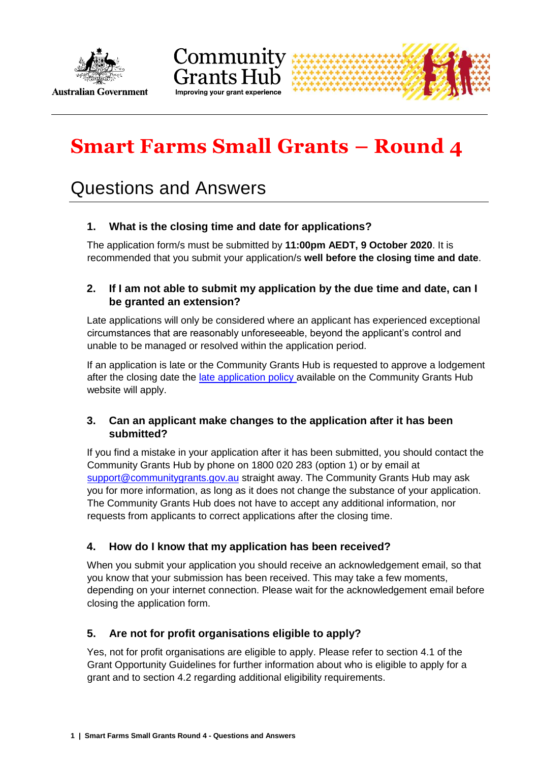



# **Smart Farms Small Grants – Round 4**

# Questions and Answers

# **1. What is the closing time and date for applications?**

The application form/s must be submitted by **11:00pm AEDT, 9 October 2020**. It is recommended that you submit your application/s **well before the closing time and date**.

# **2. If I am not able to submit my application by the due time and date, can I be granted an extension?**

Late applications will only be considered where an applicant has experienced exceptional circumstances that are reasonably unforeseeable, beyond the applicant's control and unable to be managed or resolved within the application period.

If an application is late or the Community Grants Hub is requested to approve a lodgement after the closing date the [late application policy](http://communitygrants.gov.au/information-applicants/late-applications-policy) available on the Community Grants Hub website will apply.

# **3. Can an applicant make changes to the application after it has been submitted?**

If you find a mistake in your application after it has been submitted, you should contact the Community Grants Hub by phone on 1800 020 283 (option 1) or by email at [support@communitygrants.gov.au](mailto:support@communitygrants.gov.au) straight away. The Community Grants Hub may ask you for more information, as long as it does not change the substance of your application. The Community Grants Hub does not have to accept any additional information, nor requests from applicants to correct applications after the closing time.

# **4. How do I know that my application has been received?**

When you submit your application you should receive an acknowledgement email, so that you know that your submission has been received. This may take a few moments, depending on your internet connection. Please wait for the acknowledgement email before closing the application form.

# **5. Are not for profit organisations eligible to apply?**

Yes, not for profit organisations are eligible to apply. Please refer to section 4.1 of the Grant Opportunity Guidelines for further information about who is eligible to apply for a grant and to section 4.2 regarding additional eligibility requirements.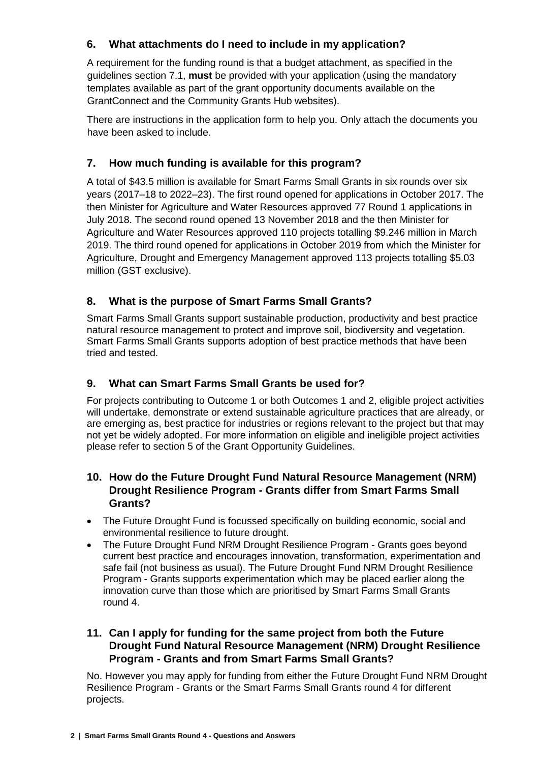# **6. What attachments do I need to include in my application?**

A requirement for the funding round is that a budget attachment, as specified in the guidelines section 7.1, **must** be provided with your application (using the mandatory templates available as part of the grant opportunity documents available on the GrantConnect and the Community Grants Hub websites).

There are instructions in the application form to help you. Only attach the documents you have been asked to include.

# **7. How much funding is available for this program?**

A total of \$43.5 million is available for Smart Farms Small Grants in six rounds over six years (2017–18 to 2022–23). The first round opened for applications in October 2017. The then Minister for Agriculture and Water Resources approved 77 Round 1 applications in July 2018. The second round opened 13 November 2018 and the then Minister for Agriculture and Water Resources approved 110 projects totalling \$9.246 million in March 2019. The third round opened for applications in October 2019 from which the Minister for Agriculture, Drought and Emergency Management approved 113 projects totalling \$5.03 million (GST exclusive).

# **8. What is the purpose of Smart Farms Small Grants?**

Smart Farms Small Grants support sustainable production, productivity and best practice natural resource management to protect and improve soil, biodiversity and vegetation. Smart Farms Small Grants supports adoption of best practice methods that have been tried and tested.

# **9. What can Smart Farms Small Grants be used for?**

For projects contributing to Outcome 1 or both Outcomes 1 and 2, eligible project activities will undertake, demonstrate or extend sustainable agriculture practices that are already, or are emerging as, best practice for industries or regions relevant to the project but that may not yet be widely adopted. For more information on eligible and ineligible project activities please refer to section 5 of the Grant Opportunity Guidelines.

# **10. How do the Future Drought Fund Natural Resource Management (NRM) Drought Resilience Program - Grants differ from Smart Farms Small Grants?**

- The Future Drought Fund is focussed specifically on building economic, social and environmental resilience to future drought.
- The Future Drought Fund NRM Drought Resilience Program Grants goes beyond current best practice and encourages innovation, transformation, experimentation and safe fail (not business as usual). The Future Drought Fund NRM Drought Resilience Program - Grants supports experimentation which may be placed earlier along the innovation curve than those which are prioritised by Smart Farms Small Grants round 4.

# **11. Can I apply for funding for the same project from both the Future Drought Fund Natural Resource Management (NRM) Drought Resilience Program - Grants and from Smart Farms Small Grants?**

No. However you may apply for funding from either the Future Drought Fund NRM Drought Resilience Program - Grants or the Smart Farms Small Grants round 4 for different projects.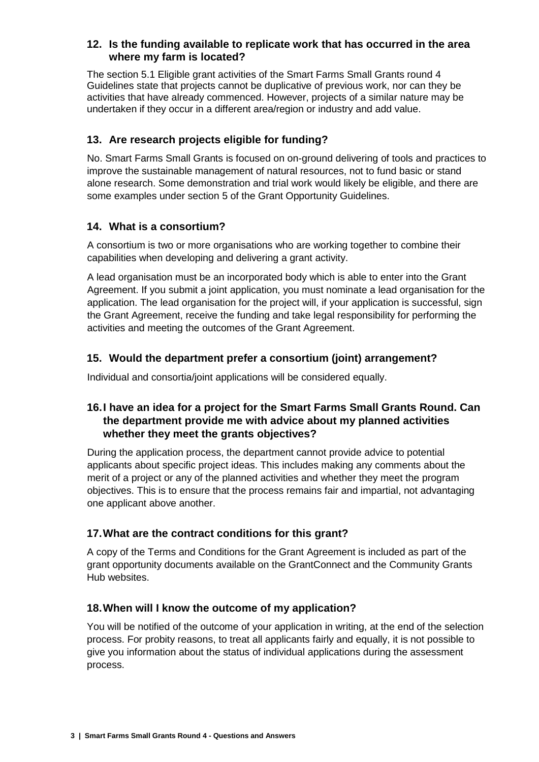# **12. Is the funding available to replicate work that has occurred in the area where my farm is located?**

The section 5.1 Eligible grant activities of the Smart Farms Small Grants round 4 Guidelines state that projects cannot be duplicative of previous work, nor can they be activities that have already commenced. However, projects of a similar nature may be undertaken if they occur in a different area/region or industry and add value.

# **13. Are research projects eligible for funding?**

No. Smart Farms Small Grants is focused on on-ground delivering of tools and practices to improve the sustainable management of natural resources, not to fund basic or stand alone research. Some demonstration and trial work would likely be eligible, and there are some examples under section 5 of the Grant Opportunity Guidelines.

# **14. What is a consortium?**

A consortium is two or more organisations who are working together to combine their capabilities when developing and delivering a grant activity.

A lead organisation must be an incorporated body which is able to enter into the Grant Agreement. If you submit a joint application, you must nominate a lead organisation for the application. The lead organisation for the project will, if your application is successful, sign the Grant Agreement, receive the funding and take legal responsibility for performing the activities and meeting the outcomes of the Grant Agreement.

# **15. Would the department prefer a consortium (joint) arrangement?**

Individual and consortia/joint applications will be considered equally.

# **16.I have an idea for a project for the Smart Farms Small Grants Round. Can the department provide me with advice about my planned activities whether they meet the grants objectives?**

During the application process, the department cannot provide advice to potential applicants about specific project ideas. This includes making any comments about the merit of a project or any of the planned activities and whether they meet the program objectives. This is to ensure that the process remains fair and impartial, not advantaging one applicant above another.

# **17.What are the contract conditions for this grant?**

A copy of the Terms and Conditions for the Grant Agreement is included as part of the grant opportunity documents available on the GrantConnect and the Community Grants Hub websites.

#### **18.When will I know the outcome of my application?**

You will be notified of the outcome of your application in writing, at the end of the selection process. For probity reasons, to treat all applicants fairly and equally, it is not possible to give you information about the status of individual applications during the assessment process.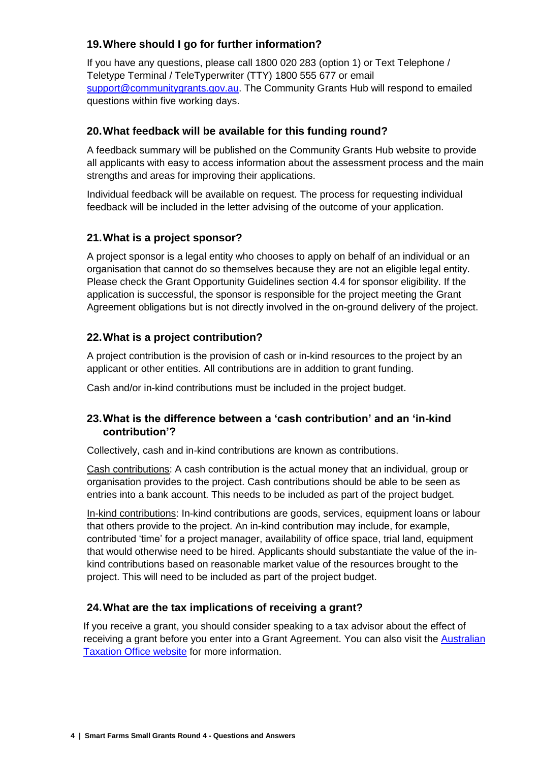# **19.Where should I go for further information?**

If you have any questions, please call 1800 020 283 (option 1) or Text Telephone / Teletype Terminal / TeleTyperwriter (TTY) 1800 555 677 or email [support@communitygrants.gov.au.](mailto:support@communitygrants.gov.au) The Community Grants Hub will respond to emailed questions within five working days.

### **20.What feedback will be available for this funding round?**

A feedback summary will be published on the Community Grants Hub website to provide all applicants with easy to access information about the assessment process and the main strengths and areas for improving their applications.

Individual feedback will be available on request. The process for requesting individual feedback will be included in the letter advising of the outcome of your application.

# **21.What is a project sponsor?**

A project sponsor is a legal entity who chooses to apply on behalf of an individual or an organisation that cannot do so themselves because they are not an eligible legal entity. Please check the Grant Opportunity Guidelines section 4.4 for sponsor eligibility. If the application is successful, the sponsor is responsible for the project meeting the Grant Agreement obligations but is not directly involved in the on-ground delivery of the project.

# **22.What is a project contribution?**

A project contribution is the provision of cash or in-kind resources to the project by an applicant or other entities. All contributions are in addition to grant funding.

Cash and/or in-kind contributions must be included in the project budget.

# **23.What is the difference between a 'cash contribution' and an 'in-kind contribution'?**

Collectively, cash and in-kind contributions are known as contributions.

Cash contributions: A cash contribution is the actual money that an individual, group or organisation provides to the project. Cash contributions should be able to be seen as entries into a bank account. This needs to be included as part of the project budget.

In-kind contributions: In-kind contributions are goods, services, equipment loans or labour that others provide to the project. An in-kind contribution may include, for example, contributed 'time' for a project manager, availability of office space, trial land, equipment that would otherwise need to be hired. Applicants should substantiate the value of the inkind contributions based on reasonable market value of the resources brought to the project. This will need to be included as part of the project budget.

#### **24.What are the tax implications of receiving a grant?**

If you receive a grant, you should consider speaking to a tax advisor about the effect of receiving a grant before you enter into a Grant Agreement. You can also visit the [Australian](http://www.ato.gov.au/)  [Taxation Office website](http://www.ato.gov.au/) for more information.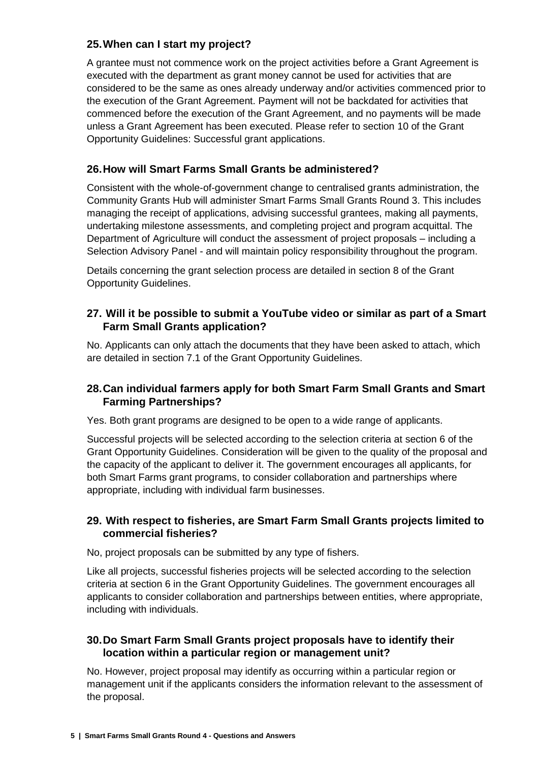# **25.When can I start my project?**

A grantee must not commence work on the project activities before a Grant Agreement is executed with the department as grant money cannot be used for activities that are considered to be the same as ones already underway and/or activities commenced prior to the execution of the Grant Agreement. Payment will not be backdated for activities that commenced before the execution of the Grant Agreement, and no payments will be made unless a Grant Agreement has been executed. Please refer to section 10 of the Grant Opportunity Guidelines: Successful grant applications.

# **26.How will Smart Farms Small Grants be administered?**

Consistent with the whole-of-government change to centralised grants administration, the Community Grants Hub will administer Smart Farms Small Grants Round 3. This includes managing the receipt of applications, advising successful grantees, making all payments, undertaking milestone assessments, and completing project and program acquittal. The Department of Agriculture will conduct the assessment of project proposals – including a Selection Advisory Panel - and will maintain policy responsibility throughout the program.

Details concerning the grant selection process are detailed in section 8 of the Grant Opportunity Guidelines.

# **27. Will it be possible to submit a YouTube video or similar as part of a Smart Farm Small Grants application?**

No. Applicants can only attach the documents that they have been asked to attach, which are detailed in section 7.1 of the Grant Opportunity Guidelines.

# **28.Can individual farmers apply for both Smart Farm Small Grants and Smart Farming Partnerships?**

Yes. Both grant programs are designed to be open to a wide range of applicants.

Successful projects will be selected according to the selection criteria at section 6 of the Grant Opportunity Guidelines. Consideration will be given to the quality of the proposal and the capacity of the applicant to deliver it. The government encourages all applicants, for both Smart Farms grant programs, to consider collaboration and partnerships where appropriate, including with individual farm businesses.

# **29. With respect to fisheries, are Smart Farm Small Grants projects limited to commercial fisheries?**

No, project proposals can be submitted by any type of fishers.

Like all projects, successful fisheries projects will be selected according to the selection criteria at section 6 in the Grant Opportunity Guidelines. The government encourages all applicants to consider collaboration and partnerships between entities, where appropriate, including with individuals.

# **30.Do Smart Farm Small Grants project proposals have to identify their location within a particular region or management unit?**

No. However, project proposal may identify as occurring within a particular region or management unit if the applicants considers the information relevant to the assessment of the proposal.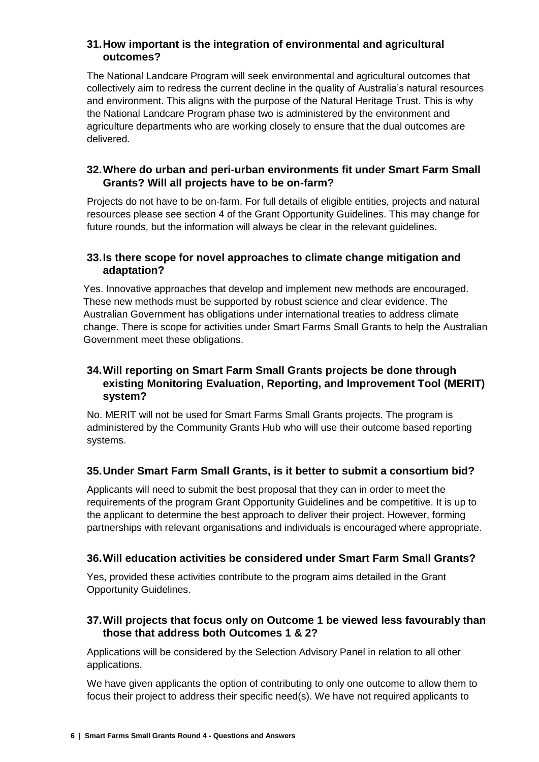# **31.How important is the integration of environmental and agricultural outcomes?**

The National Landcare Program will seek environmental and agricultural outcomes that collectively aim to redress the current decline in the quality of Australia's natural resources and environment. This aligns with the purpose of the Natural Heritage Trust. This is why the National Landcare Program phase two is administered by the environment and agriculture departments who are working closely to ensure that the dual outcomes are delivered.

# **32.Where do urban and peri-urban environments fit under Smart Farm Small Grants? Will all projects have to be on-farm?**

Projects do not have to be on-farm. For full details of eligible entities, projects and natural resources please see section 4 of the Grant Opportunity Guidelines. This may change for future rounds, but the information will always be clear in the relevant guidelines.

# **33.Is there scope for novel approaches to climate change mitigation and adaptation?**

Yes. Innovative approaches that develop and implement new methods are encouraged. These new methods must be supported by robust science and clear evidence. The Australian Government has obligations under international treaties to address climate change. There is scope for activities under Smart Farms Small Grants to help the Australian Government meet these obligations.

# **34.Will reporting on Smart Farm Small Grants projects be done through existing Monitoring Evaluation, Reporting, and Improvement Tool (MERIT) system?**

No. MERIT will not be used for Smart Farms Small Grants projects. The program is administered by the Community Grants Hub who will use their outcome based reporting systems.

# **35.Under Smart Farm Small Grants, is it better to submit a consortium bid?**

Applicants will need to submit the best proposal that they can in order to meet the requirements of the program Grant Opportunity Guidelines and be competitive. It is up to the applicant to determine the best approach to deliver their project. However, forming partnerships with relevant organisations and individuals is encouraged where appropriate.

# **36.Will education activities be considered under Smart Farm Small Grants?**

Yes, provided these activities contribute to the program aims detailed in the Grant Opportunity Guidelines.

#### **37.Will projects that focus only on Outcome 1 be viewed less favourably than those that address both Outcomes 1 & 2?**

Applications will be considered by the Selection Advisory Panel in relation to all other applications.

We have given applicants the option of contributing to only one outcome to allow them to focus their project to address their specific need(s). We have not required applicants to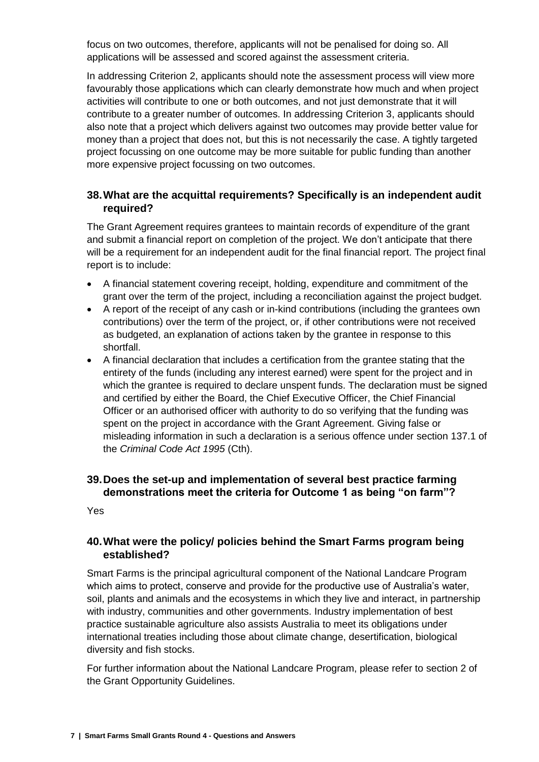focus on two outcomes, therefore, applicants will not be penalised for doing so. All applications will be assessed and scored against the assessment criteria.

In addressing Criterion 2, applicants should note the assessment process will view more favourably those applications which can clearly demonstrate how much and when project activities will contribute to one or both outcomes, and not just demonstrate that it will contribute to a greater number of outcomes. In addressing Criterion 3, applicants should also note that a project which delivers against two outcomes may provide better value for money than a project that does not, but this is not necessarily the case. A tightly targeted project focussing on one outcome may be more suitable for public funding than another more expensive project focussing on two outcomes.

# **38.What are the acquittal requirements? Specifically is an independent audit required?**

The Grant Agreement requires grantees to maintain records of expenditure of the grant and submit a financial report on completion of the project. We don't anticipate that there will be a requirement for an independent audit for the final financial report. The project final report is to include:

- A financial statement covering receipt, holding, expenditure and commitment of the grant over the term of the project, including a reconciliation against the project budget.
- A report of the receipt of any cash or in-kind contributions (including the grantees own contributions) over the term of the project, or, if other contributions were not received as budgeted, an explanation of actions taken by the grantee in response to this shortfall.
- A financial declaration that includes a certification from the grantee stating that the entirety of the funds (including any interest earned) were spent for the project and in which the grantee is required to declare unspent funds. The declaration must be signed and certified by either the Board, the Chief Executive Officer, the Chief Financial Officer or an authorised officer with authority to do so verifying that the funding was spent on the project in accordance with the Grant Agreement. Giving false or misleading information in such a declaration is a serious offence under section 137.1 of the *Criminal Code Act 1995* (Cth).

# **39.Does the set-up and implementation of several best practice farming demonstrations meet the criteria for Outcome 1 as being "on farm"?**

Yes

# **40.What were the policy/ policies behind the Smart Farms program being established?**

Smart Farms is the principal agricultural component of the National Landcare Program which aims to protect, conserve and provide for the productive use of Australia's water, soil, plants and animals and the ecosystems in which they live and interact, in partnership with industry, communities and other governments. Industry implementation of best practice sustainable agriculture also assists Australia to meet its obligations under international treaties including those about climate change, desertification, biological diversity and fish stocks.

For further information about the National Landcare Program, please refer to section 2 of the Grant Opportunity Guidelines.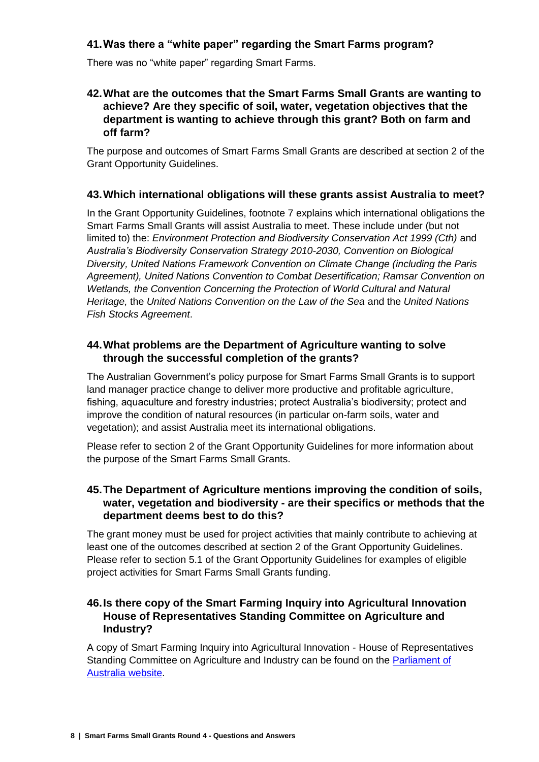# **41.Was there a "white paper" regarding the Smart Farms program?**

There was no "white paper" regarding Smart Farms.

#### **42.What are the outcomes that the Smart Farms Small Grants are wanting to achieve? Are they specific of soil, water, vegetation objectives that the department is wanting to achieve through this grant? Both on farm and off farm?**

The purpose and outcomes of Smart Farms Small Grants are described at section 2 of the Grant Opportunity Guidelines.

# **43.Which international obligations will these grants assist Australia to meet?**

In the Grant Opportunity Guidelines, footnote 7 explains which international obligations the Smart Farms Small Grants will assist Australia to meet. These include under (but not limited to) the: *Environment Protection and Biodiversity Conservation Act 1999 (Cth)* and *Australia's Biodiversity Conservation Strategy 2010-2030, Convention on Biological Diversity, United Nations Framework Convention on Climate Change (including the Paris Agreement), United Nations Convention to Combat Desertification; Ramsar Convention on Wetlands, the Convention Concerning the Protection of World Cultural and Natural Heritage,* the *United Nations Convention on the Law of the Sea* and the *United Nations Fish Stocks Agreement*.

### **44.What problems are the Department of Agriculture wanting to solve through the successful completion of the grants?**

The Australian Government's policy purpose for Smart Farms Small Grants is to support land manager practice change to deliver more productive and profitable agriculture, fishing, aquaculture and forestry industries; protect Australia's biodiversity; protect and improve the condition of natural resources (in particular on-farm soils, water and vegetation); and assist Australia meet its international obligations.

Please refer to section 2 of the Grant Opportunity Guidelines for more information about the purpose of the Smart Farms Small Grants.

# **45.The Department of Agriculture mentions improving the condition of soils, water, vegetation and biodiversity - are their specifics or methods that the department deems best to do this?**

The grant money must be used for project activities that mainly contribute to achieving at least one of the outcomes described at section 2 of the Grant Opportunity Guidelines. Please refer to section 5.1 of the Grant Opportunity Guidelines for examples of eligible project activities for Smart Farms Small Grants funding.

# **46.Is there copy of the Smart Farming Inquiry into Agricultural Innovation House of Representatives Standing Committee on Agriculture and Industry?**

A copy of Smart Farming Inquiry into Agricultural Innovation - House of Representatives Standing Committee on Agriculture and Industry can be found on the [Parliament of](https://www.aph.gov.au/Parliamentary_Business/Committees/House/Agriculture_and_Industry/Agricultural_innovation)  [Australia](https://www.aph.gov.au/Parliamentary_Business/Committees/House/Agriculture_and_Industry/Agricultural_innovation) website.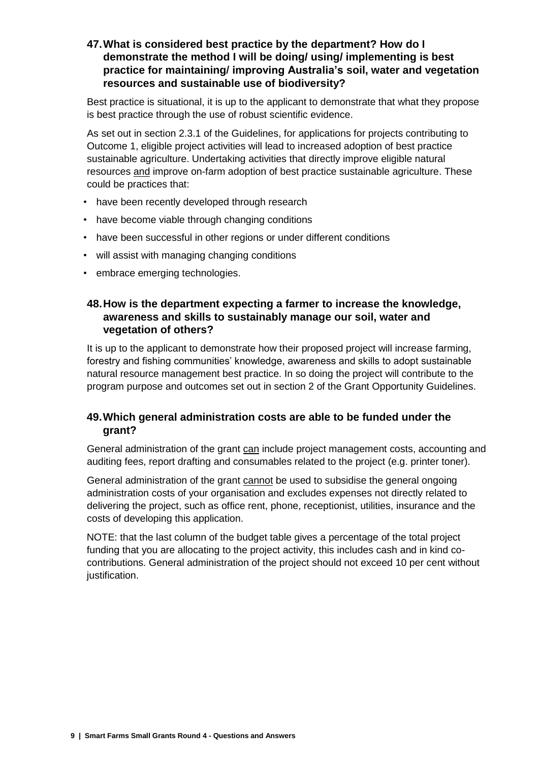**47.What is considered best practice by the department? How do I demonstrate the method I will be doing/ using/ implementing is best practice for maintaining/ improving Australia's soil, water and vegetation resources and sustainable use of biodiversity?**

Best practice is situational, it is up to the applicant to demonstrate that what they propose is best practice through the use of robust scientific evidence.

As set out in section 2.3.1 of the Guidelines, for applications for projects contributing to Outcome 1, eligible project activities will lead to increased adoption of best practice sustainable agriculture. Undertaking activities that directly improve eligible natural resources and improve on-farm adoption of best practice sustainable agriculture. These could be practices that:

- have been recently developed through research
- have become viable through changing conditions
- have been successful in other regions or under different conditions
- will assist with managing changing conditions
- embrace emerging technologies.

#### **48.How is the department expecting a farmer to increase the knowledge, awareness and skills to sustainably manage our soil, water and vegetation of others?**

It is up to the applicant to demonstrate how their proposed project will increase farming, forestry and fishing communities' knowledge, awareness and skills to adopt sustainable natural resource management best practice. In so doing the project will contribute to the program purpose and outcomes set out in section 2 of the Grant Opportunity Guidelines.

#### **49.Which general administration costs are able to be funded under the grant?**

General administration of the grant can include project management costs, accounting and auditing fees, report drafting and consumables related to the project (e.g. printer toner).

General administration of the grant cannot be used to subsidise the general ongoing administration costs of your organisation and excludes expenses not directly related to delivering the project, such as office rent, phone, receptionist, utilities, insurance and the costs of developing this application.

NOTE: that the last column of the budget table gives a percentage of the total project funding that you are allocating to the project activity, this includes cash and in kind cocontributions. General administration of the project should not exceed 10 per cent without justification.